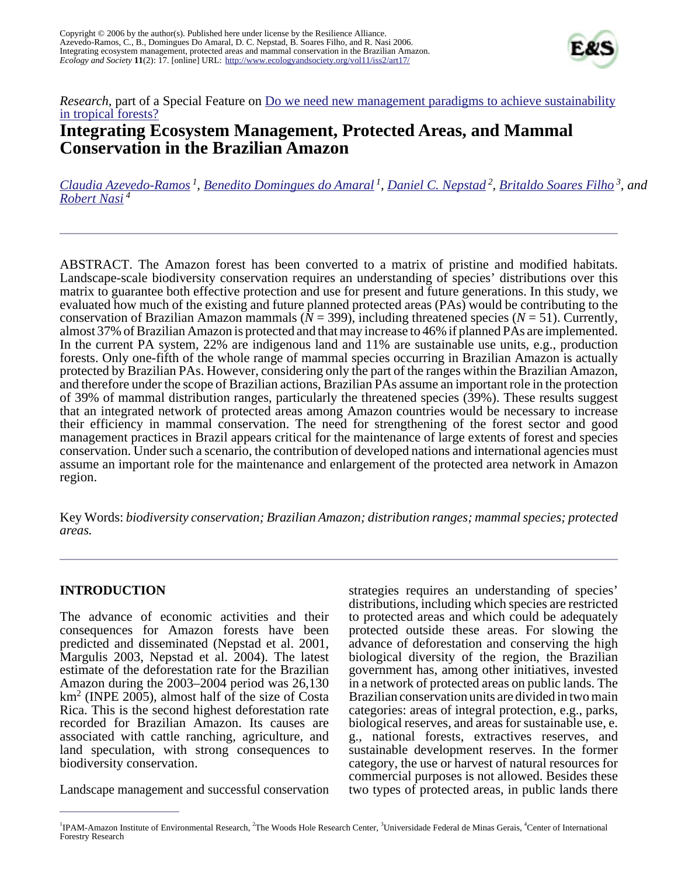

## *Research*, part of a Special Feature on <u>Do we need new management paradigms to achieve sustainability</u> [in tropical forests?](http://www.ecologyandsociety.org/viewissue.php?sf=27)

# **Integrating Ecosystem Management, Protected Areas, and Mammal Conservation in the Brazilian Amazon**

*[Claudia Azevedo-Ramos](mailto:c.azevedoramos@terra.com.br)<sup>1</sup> , [Benedito Domingues do Amaral](mailto:beneditoamaral@ipam.org.br)<sup>1</sup> , [Daniel C. Nepstad](mailto:dnepstad@whrc.org)<sup>2</sup> , [Britaldo Soares Filho](mailto:britaldo@csr.ufmg.br)<sup>3</sup>, and [Robert Nasi](mailto:r.nasi@cgiar.org)<sup>4</sup>*

ABSTRACT. The Amazon forest has been converted to a matrix of pristine and modified habitats. Landscape-scale biodiversity conservation requires an understanding of species' distributions over this matrix to guarantee both effective protection and use for present and future generations. In this study, we evaluated how much of the existing and future planned protected areas (PAs) would be contributing to the conservation of Brazilian Amazon mammals ( $N = 399$ ), including threatened species ( $N = 51$ ). Currently, almost 37% of Brazilian Amazon is protected and that may increase to 46% if planned PAs are implemented. In the current PA system, 22% are indigenous land and 11% are sustainable use units, e.g., production forests. Only one-fifth of the whole range of mammal species occurring in Brazilian Amazon is actually protected by Brazilian PAs. However, considering only the part of the ranges within the Brazilian Amazon, and therefore under the scope of Brazilian actions, Brazilian PAs assume an important role in the protection of 39% of mammal distribution ranges, particularly the threatened species  $(39%)$ . These results suggest that an integrated network of protected areas among Amazon countries would be necessary to increase their efficiency in mammal conservation. The need for strengthening of the forest sector and good management practices in Brazil appears critical for the maintenance of large extents of forest and species conservation. Under such a scenario, the contribution of developed nations and international agencies must assume an important role for the maintenance and enlargement of the protected area network in Amazon region.

Key Words: *biodiversity conservation; Brazilian Amazon; distribution ranges; mammal species; protected areas.*

#### **INTRODUCTION**

The advance of economic activities and their consequences for Amazon forests have been predicted and disseminated (Nepstad et al. 2001, Margulis 2003, Nepstad et al. 2004). The latest estimate of the deforestation rate for the Brazilian Amazon during the 2003–2004 period was 26,130  $km<sup>2</sup>$  (INPE 2005), almost half of the size of Costa Rica. This is the second highest deforestation rate recorded for Brazilian Amazon. Its causes are associated with cattle ranching, agriculture, and land speculation, with strong consequences to biodiversity conservation.

Landscape management and successful conservation

strategies requires an understanding of species' distributions, including which species are restricted to protected areas and which could be adequately protected outside these areas. For slowing the advance of deforestation and conserving the high biological diversity of the region, the Brazilian government has, among other initiatives, invested in a network of protected areas on public lands. The Brazilian conservation units are divided in two main categories: areas of integral protection, e.g., parks, biological reserves, and areas for sustainable use, e. g., national forests, extractives reserves, and sustainable development reserves. In the former category, the use or harvest of natural resources for commercial purposes is not allowed. Besides these two types of protected areas, in public lands there

<sup>&</sup>lt;sup>1</sup>IPAM-Amazon Institute of Environmental Research, <sup>2</sup>The Woods Hole Research Center, <sup>3</sup>Universidade Federal de Minas Gerais, <sup>4</sup>Center of International Forestry Research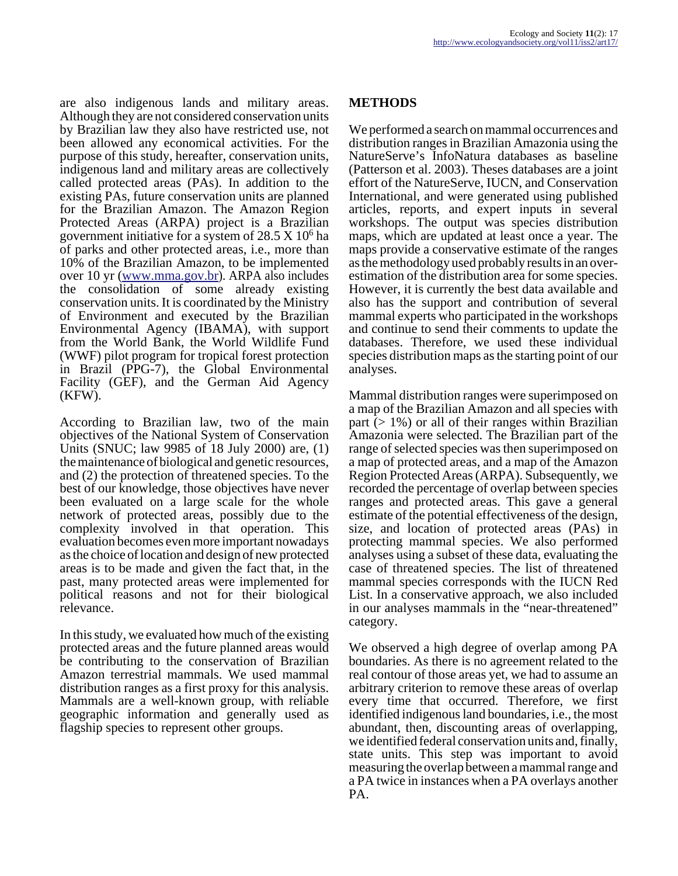are also indigenous lands and military areas. Although they are not considered conservation units by Brazilian law they also have restricted use, not been allowed any economical activities. For the purpose of this study, hereafter, conservation units, indigenous land and military areas are collectively called protected areas (PAs). In addition to the existing PAs, future conservation units are planned for the Brazilian Amazon. The Amazon Region Protected Areas (ARPA) project is a Brazilian government initiative for a system of  $28.5 \text{ X}$  10<sup>6</sup> ha of parks and other protected areas, i.e., more than 10% of the Brazilian Amazon, to be implemented over 10 yr [\(www.mma.gov.br](http://www.mma.gov.br)). ARPA also includes the consolidation of some already existing conservation units. It is coordinated by the Ministry of Environment and executed by the Brazilian Environmental Agency (IBAMA), with support from the World Bank, the World Wildlife Fund (WWF) pilot program for tropical forest protection in Brazil (PPG-7), the Global Environmental Facility (GEF), and the German Aid Agency (KFW).

According to Brazilian law, two of the main objectives of the National System of Conservation Units (SNUC; law 9985 of 18 July 2000) are, (1) the maintenance of biological and genetic resources, and (2) the protection of threatened species. To the best of our knowledge, those objectives have never been evaluated on a large scale for the whole network of protected areas, possibly due to the complexity involved in that operation. This evaluation becomes even more important nowadays as the choice of location and design of new protected areas is to be made and given the fact that, in the past, many protected areas were implemented for political reasons and not for their biological relevance.

In this study, we evaluated how much of the existing protected areas and the future planned areas would be contributing to the conservation of Brazilian Amazon terrestrial mammals. We used mammal distribution ranges as a first proxy for this analysis. Mammals are a well-known group, with reliable geographic information and generally used as flagship species to represent other groups.

#### **METHODS**

We performed a search on mammal occurrences and distribution ranges in Brazilian Amazonia using the NatureServe's InfoNatura databases as baseline (Patterson et al. 2003). Theses databases are a joint effort of the NatureServe, IUCN, and Conservation International, and were generated using published articles, reports, and expert inputs in several workshops. The output was species distribution maps, which are updated at least once a year. The maps provide a conservative estimate of the ranges as the methodology used probably results in an overestimation of the distribution area for some species. However, it is currently the best data available and also has the support and contribution of several mammal experts who participated in the workshops and continue to send their comments to update the databases. Therefore, we used these individual species distribution maps as the starting point of our analyses.

Mammal distribution ranges were superimposed on a map of the Brazilian Amazon and all species with part  $(1\%)$  or all of their ranges within Brazilian Amazonia were selected. The Brazilian part of the range of selected species was then superimposed on a map of protected areas, and a map of the Amazon Region Protected Areas (ARPA). Subsequently, we recorded the percentage of overlap between species ranges and protected areas. This gave a general estimate of the potential effectiveness of the design, size, and location of protected areas (PAs) in protecting mammal species. We also performed analyses using a subset of these data, evaluating the case of threatened species. The list of threatened mammal species corresponds with the IUCN Red List. In a conservative approach, we also included in our analyses mammals in the "near-threatened" category.

We observed a high degree of overlap among PA boundaries. As there is no agreement related to the real contour of those areas yet, we had to assume an arbitrary criterion to remove these areas of overlap every time that occurred. Therefore, we first identified indigenous land boundaries, i.e., the most abundant, then, discounting areas of overlapping, we identified federal conservation units and, finally, state units. This step was important to avoid measuring the overlap between a mammal range and a PA twice in instances when a PA overlays another PA.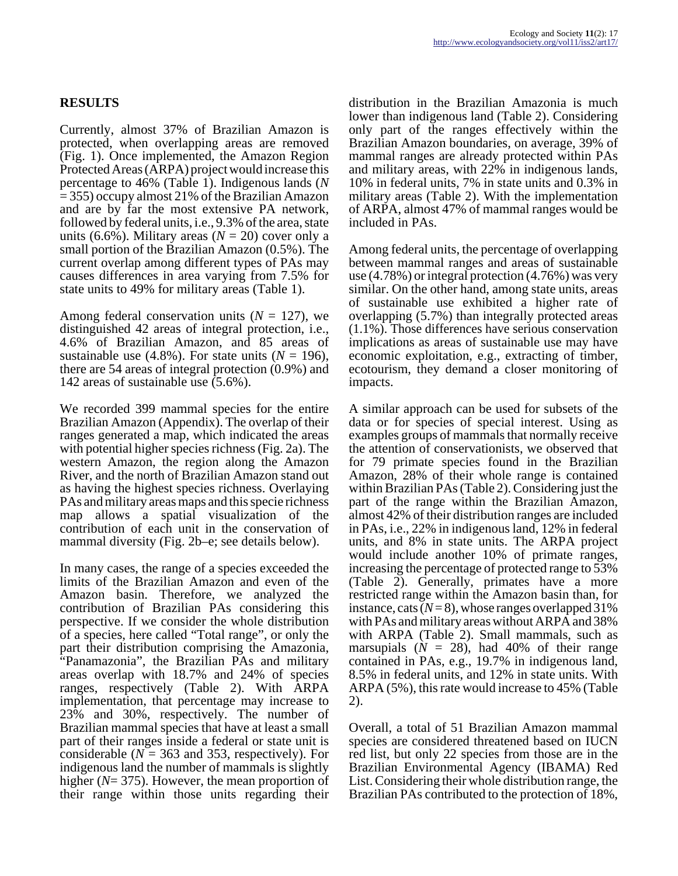Currently, almost 37% of Brazilian Amazon is protected, when overlapping areas are removed (Fig. 1). Once implemented, the Amazon Region Protected Areas (ARPA) project would increase this percentage to 46% (Table 1). Indigenous lands (*N* = 355) occupy almost 21% of the Brazilian Amazon and are by far the most extensive PA network, followed by federal units, i.e., 9.3% of the area, state units (6.6%). Military areas ( $N = 20$ ) cover only a small portion of the Brazilian Amazon (0.5%). The current overlap among different types of PAs may causes differences in area varying from 7.5% for state units to 49% for military areas (Table 1).

Among federal conservation units  $(N = 127)$ , we distinguished 42 areas of integral protection, i.e., 4.6% of Brazilian Amazon, and 85 areas of sustainable use  $(4.8\%)$ . For state units  $(N = 196)$ , there are 54 areas of integral protection (0.9%) and 142 areas of sustainable use (5.6%).

We recorded 399 mammal species for the entire Brazilian Amazon (Appendix). The overlap of their ranges generated a map, which indicated the areas with potential higher species richness (Fig. 2a). The western Amazon, the region along the Amazon River, and the north of Brazilian Amazon stand out as having the highest species richness. Overlaying PAs and military areas maps and this specie richness map allows a spatial visualization of the contribution of each unit in the conservation of mammal diversity (Fig. 2b–e; see details below).

In many cases, the range of a species exceeded the limits of the Brazilian Amazon and even of the Amazon basin. Therefore, we analyzed the contribution of Brazilian PAs considering this perspective. If we consider the whole distribution of a species, here called "Total range", or only the part their distribution comprising the Amazonia, "Panamazonia", the Brazilian PAs and military areas overlap with 18.7% and 24% of species ranges, respectively (Table 2). With ARPA implementation, that percentage may increase to 23% and 30%, respectively. The number of Brazilian mammal species that have at least a small part of their ranges inside a federal or state unit is considerable ( $N = 363$  and 353, respectively). For indigenous land the number of mammals is slightly higher (*N*= 375). However, the mean proportion of their range within those units regarding their

distribution in the Brazilian Amazonia is much lower than indigenous land (Table 2). Considering only part of the ranges effectively within the Brazilian Amazon boundaries, on average, 39% of mammal ranges are already protected within PAs and military areas, with 22% in indigenous lands, 10% in federal units, 7% in state units and 0.3% in military areas (Table 2). With the implementation of ARPA, almost 47% of mammal ranges would be included in PAs.

Among federal units, the percentage of overlapping between mammal ranges and areas of sustainable use (4.78%) or integral protection (4.76%) was very similar. On the other hand, among state units, areas of sustainable use exhibited a higher rate of overlapping (5.7%) than integrally protected areas (1.1%). Those differences have serious conservation implications as areas of sustainable use may have economic exploitation, e.g., extracting of timber, ecotourism, they demand a closer monitoring of impacts.

A similar approach can be used for subsets of the data or for species of special interest. Using as examples groups of mammals that normally receive the attention of conservationists, we observed that for 79 primate species found in the Brazilian Amazon, 28% of their whole range is contained within Brazilian PAs (Table 2). Considering just the part of the range within the Brazilian Amazon, almost 42% of their distribution ranges are included in PAs, i.e., 22% in indigenous land, 12% in federal units, and 8% in state units. The ARPA project would include another 10% of primate ranges, increasing the percentage of protected range to 53% (Table 2). Generally, primates have a more restricted range within the Amazon basin than, for instance, cats  $(N=8)$ , whose ranges overlapped 31% with PAs and military areas without ARPA and 38% with ARPA (Table 2). Small mammals, such as marsupials  $(N = 28)$ , had 40% of their range contained in PAs, e.g., 19.7% in indigenous land, 8.5% in federal units, and 12% in state units. With ARPA (5%), this rate would increase to 45% (Table 2).

Overall, a total of 51 Brazilian Amazon mammal species are considered threatened based on IUCN red list, but only 22 species from those are in the Brazilian Environmental Agency (IBAMA) Red List. Considering their whole distribution range, the Brazilian PAs contributed to the protection of 18%,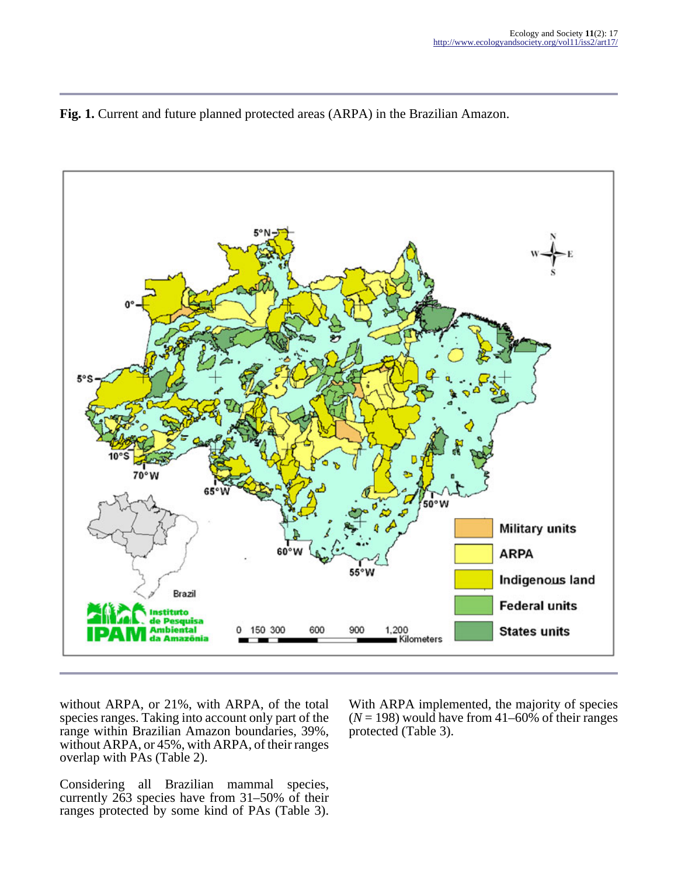



without ARPA, or 21%, with ARPA, of the total species ranges. Taking into account only part of the range within Brazilian Amazon boundaries, 39%, without ARPA, or 45%, with ARPA, of their ranges overlap with PAs (Table 2).

Considering all Brazilian mammal species, currently 263 species have from 31–50% of their ranges protected by some kind of PAs (Table 3).

With ARPA implemented, the majority of species  $(N = 198)$  would have from 41–60% of their ranges protected (Table 3).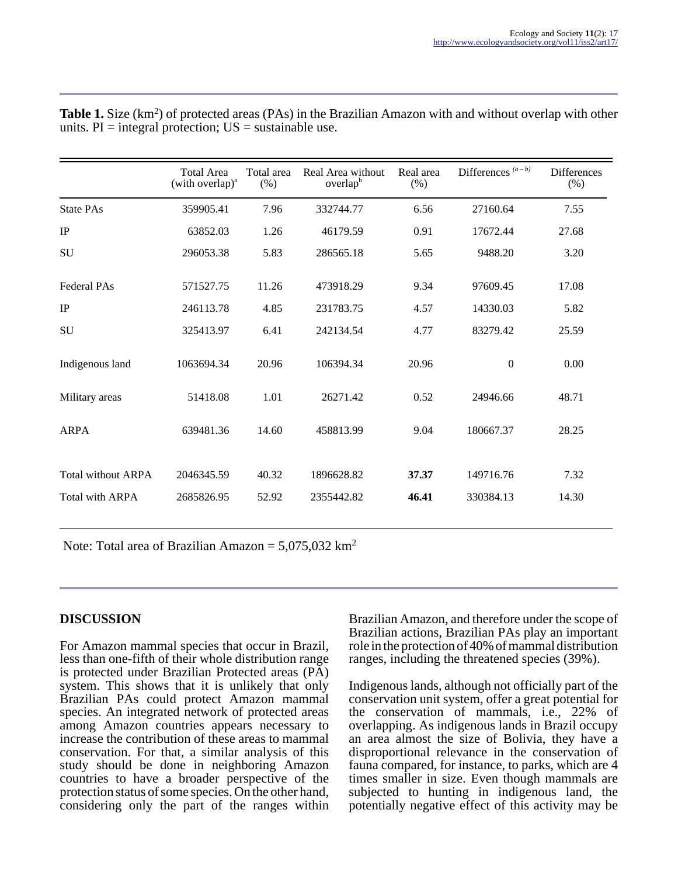|                           | <b>Total Area</b><br>(with overlap) $^{\rm a}$ | Total area<br>$(\%)$ | Real Area without<br>overlap <sup>b</sup> | Real area<br>$(\%)$ | Differences $(a - b)$ | <b>Differences</b><br>$(\%)$ |
|---------------------------|------------------------------------------------|----------------------|-------------------------------------------|---------------------|-----------------------|------------------------------|
| <b>State PAs</b>          | 359905.41                                      | 7.96                 | 332744.77                                 | 6.56                | 27160.64              | 7.55                         |
| $_{\rm IP}$               | 63852.03                                       | 1.26                 | 46179.59                                  | 0.91                | 17672.44              | 27.68                        |
| <b>SU</b>                 | 296053.38                                      | 5.83                 | 286565.18                                 | 5.65                | 9488.20               | 3.20                         |
| <b>Federal PAs</b>        | 571527.75                                      | 11.26                | 473918.29                                 | 9.34                | 97609.45              | 17.08                        |
| $_{\rm IP}$               | 246113.78                                      | 4.85                 | 231783.75                                 | 4.57                | 14330.03              | 5.82                         |
| <b>SU</b>                 | 325413.97                                      | 6.41                 | 242134.54                                 | 4.77                | 83279.42              | 25.59                        |
| Indigenous land           | 1063694.34                                     | 20.96                | 106394.34                                 | 20.96               | $\boldsymbol{0}$      | 0.00                         |
| Military areas            | 51418.08                                       | 1.01                 | 26271.42                                  | 0.52                | 24946.66              | 48.71                        |
| <b>ARPA</b>               | 639481.36                                      | 14.60                | 458813.99                                 | 9.04                | 180667.37             | 28.25                        |
| <b>Total without ARPA</b> | 2046345.59                                     | 40.32                | 1896628.82                                | 37.37               | 149716.76             | 7.32                         |
| <b>Total with ARPA</b>    | 2685826.95                                     | 52.92                | 2355442.82                                | 46.41               | 330384.13             | 14.30                        |

Table 1. Size (km<sup>2</sup>) of protected areas (PAs) in the Brazilian Amazon with and without overlap with other units.  $PI =$  integral protection;  $US =$  sustainable use.

Note: Total area of Brazilian Amazon =  $5,075,032$  km<sup>2</sup>

### **DISCUSSION**

For Amazon mammal species that occur in Brazil, less than one-fifth of their whole distribution range is protected under Brazilian Protected areas (PA) system. This shows that it is unlikely that only Brazilian PAs could protect Amazon mammal species. An integrated network of protected areas among Amazon countries appears necessary to increase the contribution of these areas to mammal conservation. For that, a similar analysis of this study should be done in neighboring Amazon countries to have a broader perspective of the protection status of some species. On the other hand, considering only the part of the ranges within Brazilian Amazon, and therefore under the scope of Brazilian actions, Brazilian PAs play an important role in the protection of 40% of mammal distribution ranges, including the threatened species (39%).

Indigenous lands, although not officially part of the conservation unit system, offer a great potential for the conservation of mammals, i.e., 22% of overlapping. As indigenous lands in Brazil occupy an area almost the size of Bolivia, they have a disproportional relevance in the conservation of fauna compared, for instance, to parks, which are 4 times smaller in size. Even though mammals are subjected to hunting in indigenous land, the potentially negative effect of this activity may be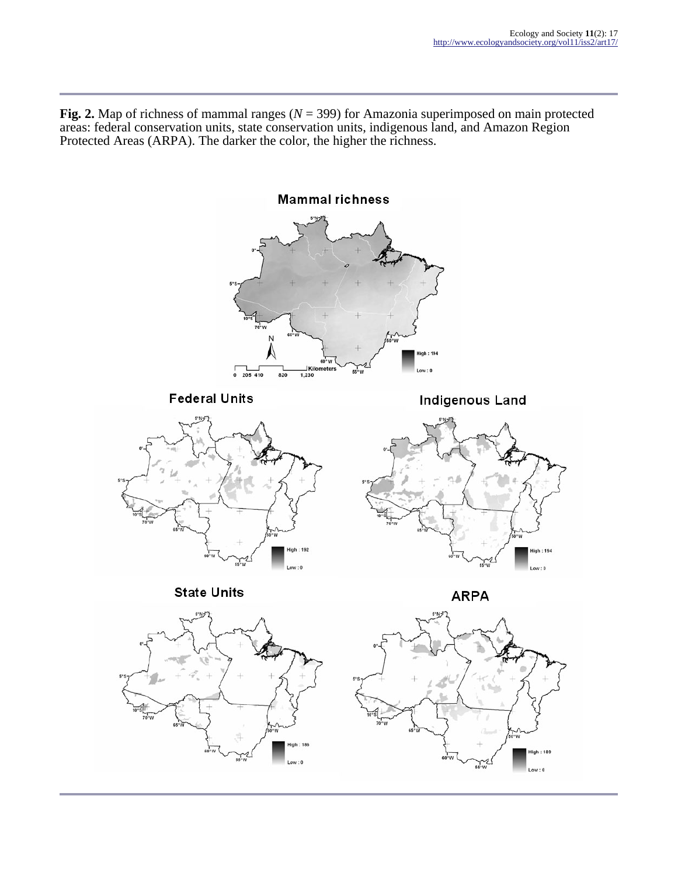**Fig. 2.** Map of richness of mammal ranges (*N* = 399) for Amazonia superimposed on main protected areas: federal conservation units, state conservation units, indigenous land, and Amazon Region Protected Areas (ARPA). The darker the color, the higher the richness.

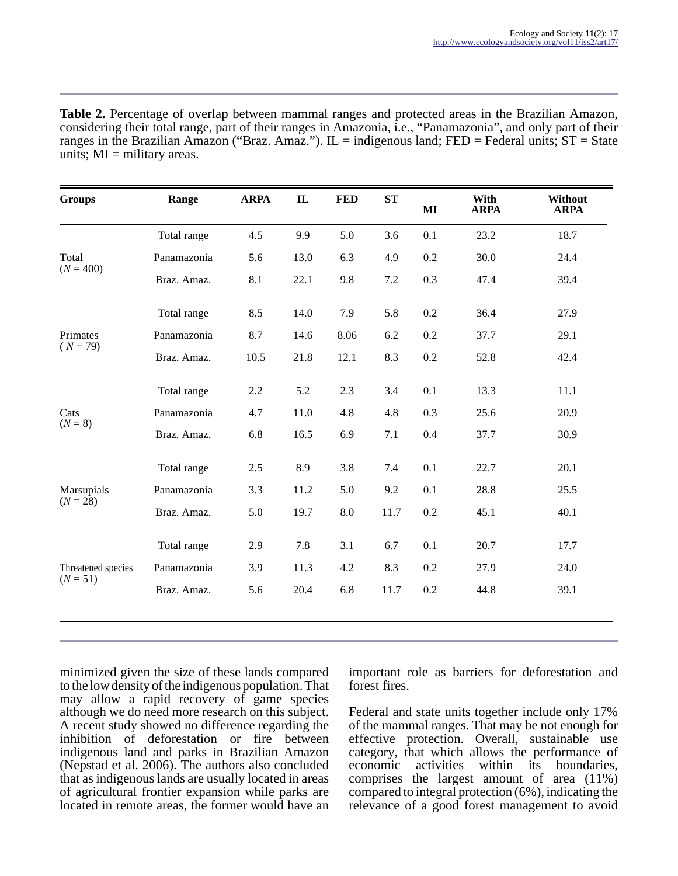| <b>Table 2.</b> Percentage of overlap between mammal ranges and protected areas in the Brazilian Amazon,     |
|--------------------------------------------------------------------------------------------------------------|
| considering their total range, part of their ranges in Amazonia, i.e., "Panamazonia", and only part of their |
| ranges in the Brazilian Amazon ("Braz. Amaz."). IL = indigenous land; FED = Federal units; $ST = State$      |
| units; $MI =$ military areas.                                                                                |

| <b>Groups</b>          | Range       | <b>ARPA</b> | $\mathbf{IL}$ | <b>FED</b> | ST   | MI  | With<br><b>ARPA</b> | Without<br><b>ARPA</b> |
|------------------------|-------------|-------------|---------------|------------|------|-----|---------------------|------------------------|
|                        | Total range | 4.5         | 9.9           | 5.0        | 3.6  | 0.1 | 23.2                | 18.7                   |
| Total                  | Panamazonia | 5.6         | 13.0          | 6.3        | 4.9  | 0.2 | 30.0                | 24.4                   |
| $(N = 400)$            | Braz. Amaz. | 8.1         | 22.1          | 9.8        | 7.2  | 0.3 | 47.4                | 39.4                   |
|                        | Total range | 8.5         | 14.0          | 7.9        | 5.8  | 0.2 | 36.4                | 27.9                   |
| Primates<br>$(N = 79)$ | Panamazonia | 8.7         | 14.6          | 8.06       | 6.2  | 0.2 | 37.7                | 29.1                   |
|                        | Braz. Amaz. | 10.5        | 21.8          | 12.1       | 8.3  | 0.2 | 52.8                | 42.4                   |
|                        | Total range | 2.2         | 5.2           | 2.3        | 3.4  | 0.1 | 13.3                | 11.1                   |
| Cats                   | Panamazonia | 4.7         | 11.0          | 4.8        | 4.8  | 0.3 | 25.6                | 20.9                   |
| $(N = 8)$              | Braz. Amaz. | 6.8         | 16.5          | 6.9        | 7.1  | 0.4 | 37.7                | 30.9                   |
|                        | Total range | 2.5         | 8.9           | 3.8        | 7.4  | 0.1 | 22.7                | 20.1                   |
| Marsupials             | Panamazonia | 3.3         | 11.2          | 5.0        | 9.2  | 0.1 | 28.8                | 25.5                   |
| $(N = 28)$             | Braz. Amaz. | 5.0         | 19.7          | 8.0        | 11.7 | 0.2 | 45.1                | 40.1                   |
|                        | Total range | 2.9         | 7.8           | 3.1        | 6.7  | 0.1 | 20.7                | 17.7                   |
| Threatened species     | Panamazonia | 3.9         | 11.3          | 4.2        | 8.3  | 0.2 | 27.9                | 24.0                   |
| $(N = 51)$             | Braz. Amaz. | 5.6         | 20.4          | 6.8        | 11.7 | 0.2 | 44.8                | 39.1                   |

minimized given the size of these lands compared to the low density of the indigenous population. That may allow a rapid recovery of game species although we do need more research on this subject. A recent study showed no difference regarding the inhibition of deforestation or fire between indigenous land and parks in Brazilian Amazon (Nepstad et al. 2006). The authors also concluded that as indigenous lands are usually located in areas of agricultural frontier expansion while parks are located in remote areas, the former would have an

important role as barriers for deforestation and forest fires.

Federal and state units together include only 17% of the mammal ranges. That may be not enough for effective protection. Overall, sustainable use category, that which allows the performance of economic activities within its boundaries, comprises the largest amount of area (11%) compared to integral protection (6%), indicating the relevance of a good forest management to avoid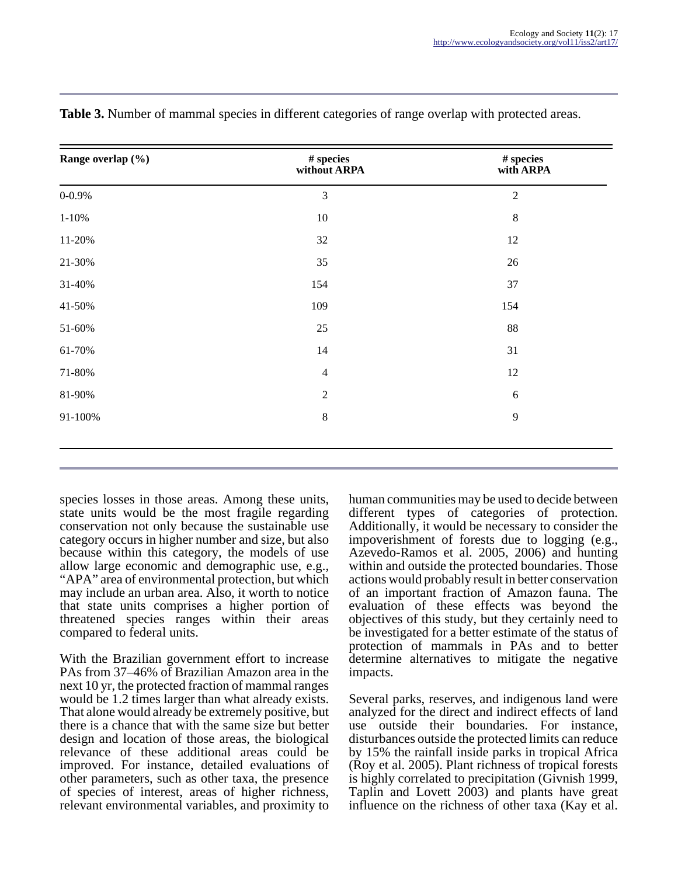| Range overlap (%) | $\#$ species<br>without ARPA | $\#$ species<br>with ARPA |
|-------------------|------------------------------|---------------------------|
| $0 - 0.9%$        | $\mathfrak{Z}$               | $\overline{2}$            |
| $1 - 10%$         | $10\,$                       | $\,8\,$                   |
| 11-20%            | 32                           | 12                        |
| 21-30%            | 35                           | 26                        |
| 31-40%            | 154                          | 37                        |
| 41-50%            | 109                          | 154                       |
| 51-60%            | $25\,$                       | $88\,$                    |
| 61-70%            | 14                           | 31                        |
| 71-80%            | $\overline{4}$               | 12                        |
| 81-90%            | $\sqrt{2}$                   | 6                         |
| 91-100%           | $\,8\,$                      | $\overline{9}$            |
|                   |                              |                           |

**Table 3.** Number of mammal species in different categories of range overlap with protected areas.

species losses in those areas. Among these units, state units would be the most fragile regarding conservation not only because the sustainable use category occurs in higher number and size, but also because within this category, the models of use allow large economic and demographic use, e.g., "APA" area of environmental protection, but which may include an urban area. Also, it worth to notice that state units comprises a higher portion of threatened species ranges within their areas compared to federal units.

With the Brazilian government effort to increase PAs from 37–46% of Brazilian Amazon area in the next 10 yr, the protected fraction of mammal ranges would be 1.2 times larger than what already exists. That alone would already be extremely positive, but there is a chance that with the same size but better design and location of those areas, the biological relevance of these additional areas could be improved. For instance, detailed evaluations of other parameters, such as other taxa, the presence of species of interest, areas of higher richness, relevant environmental variables, and proximity to

human communities may be used to decide between different types of categories of protection. Additionally, it would be necessary to consider the impoverishment of forests due to logging (e.g., Azevedo-Ramos et al. 2005, 2006) and hunting within and outside the protected boundaries. Those actions would probably result in better conservation of an important fraction of Amazon fauna. The evaluation of these effects was beyond the objectives of this study, but they certainly need to be investigated for a better estimate of the status of protection of mammals in PAs and to better determine alternatives to mitigate the negative impacts.

Several parks, reserves, and indigenous land were analyzed for the direct and indirect effects of land use outside their boundaries. For instance, disturbances outside the protected limits can reduce by 15% the rainfall inside parks in tropical Africa (Roy et al. 2005). Plant richness of tropical forests is highly correlated to precipitation (Givnish 1999, Taplin and Lovett 2003) and plants have great influence on the richness of other taxa (Kay et al.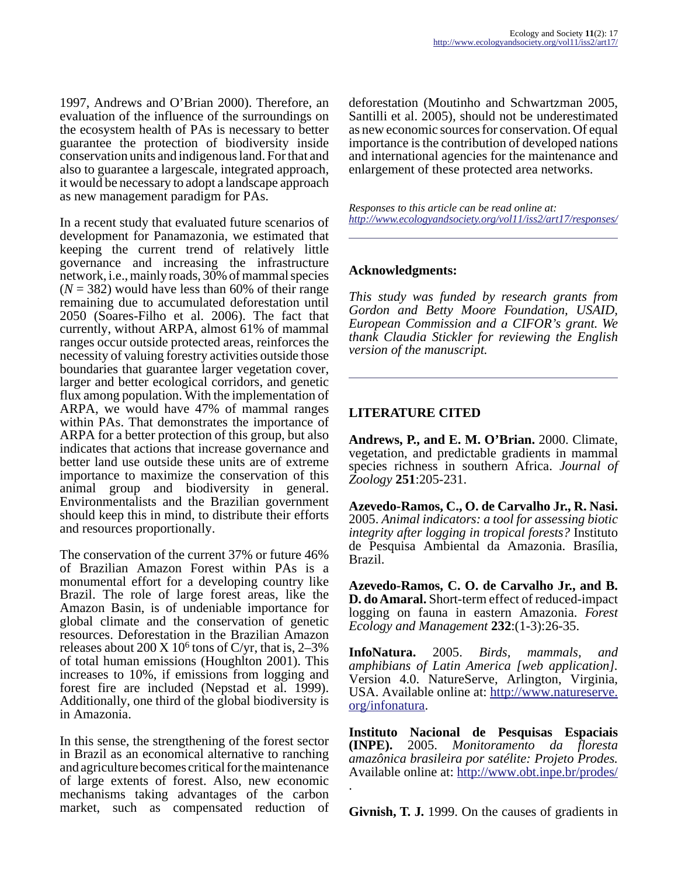1997, Andrews and O'Brian 2000). Therefore, an evaluation of the influence of the surroundings on the ecosystem health of PAs is necessary to better guarantee the protection of biodiversity inside conservation units and indigenous land. For that and also to guarantee a largescale, integrated approach, it would be necessary to adopt a landscape approach as new management paradigm for PAs.

In a recent study that evaluated future scenarios of development for Panamazonia, we estimated that keeping the current trend of relatively little governance and increasing the infrastructure network, i.e., mainly roads, 30% of mammal species  $(N = 382)$  would have less than 60% of their range remaining due to accumulated deforestation until 2050 (Soares-Filho et al. 2006). The fact that currently, without ARPA, almost 61% of mammal ranges occur outside protected areas, reinforces the necessity of valuing forestry activities outside those boundaries that guarantee larger vegetation cover, larger and better ecological corridors, and genetic flux among population. With the implementation of ARPA, we would have 47% of mammal ranges within PAs. That demonstrates the importance of ARPA for a better protection of this group, but also indicates that actions that increase governance and better land use outside these units are of extreme importance to maximize the conservation of this animal group and biodiversity in general. Environmentalists and the Brazilian government should keep this in mind, to distribute their efforts and resources proportionally.

The conservation of the current 37% or future 46% of Brazilian Amazon Forest within PAs is a monumental effort for a developing country like Brazil. The role of large forest areas, like the Amazon Basin, is of undeniable importance for global climate and the conservation of genetic resources. Deforestation in the Brazilian Amazon releases about  $200 \text{ X}$  10<sup>6</sup> tons of C/yr, that is, 2–3% of total human emissions (Houghlton 2001). This increases to 10%, if emissions from logging and forest fire are included (Nepstad et al. 1999). Additionally, one third of the global biodiversity is in Amazonia.

In this sense, the strengthening of the forest sector in Brazil as an economical alternative to ranching and agriculture becomes critical for the maintenance of large extents of forest. Also, new economic mechanisms taking advantages of the carbon market, such as compensated reduction of deforestation (Moutinho and Schwartzman 2005, Santilli et al. 2005), should not be underestimated as new economic sources for conservation. Of equal importance is the contribution of developed nations and international agencies for the maintenance and enlargement of these protected area networks.

*Responses to this article can be read online at: <http://www.ecologyandsociety.org/vol11/iss2/art17/responses/>*

#### **Acknowledgments:**

*This study was funded by research grants from Gordon and Betty Moore Foundation, USAID, European Commission and a CIFOR's grant. We thank Claudia Stickler for reviewing the English version of the manuscript.* 

#### **LITERATURE CITED**

**Andrews, P., and E. M. O'Brian.** 2000. Climate, vegetation, and predictable gradients in mammal species richness in southern Africa. *Journal of Zoology* **251**:205-231.

**Azevedo-Ramos, C., O. de Carvalho Jr., R. Nasi.** 2005. *Animal indicators: a tool for assessing biotic integrity after logging in tropical forests?* Instituto de Pesquisa Ambiental da Amazonia. Brasília, Brazil.

**Azevedo-Ramos, C. O. de Carvalho Jr., and B. D. do Amaral.** Short-term effect of reduced-impact logging on fauna in eastern Amazonia. *Forest Ecology and Management* **232**:(1-3):26-35.

**InfoNatura.** 2005. *Birds, mammals, and amphibians of Latin America [web application].* Version 4.0. NatureServe, Arlington, Virginia, USA. Available online at: [http://www.natureserve.](http://www.natureserve.org/infonatura) [org/infonatura.](http://www.natureserve.org/infonatura)

**Instituto Nacional de Pesquisas Espaciais (INPE).** 2005. *Monitoramento da floresta amazônica brasileira por satélite: Projeto Prodes.* Available online at: <http://www.obt.inpe.br/prodes/> .

**Givnish, T. J.** 1999. On the causes of gradients in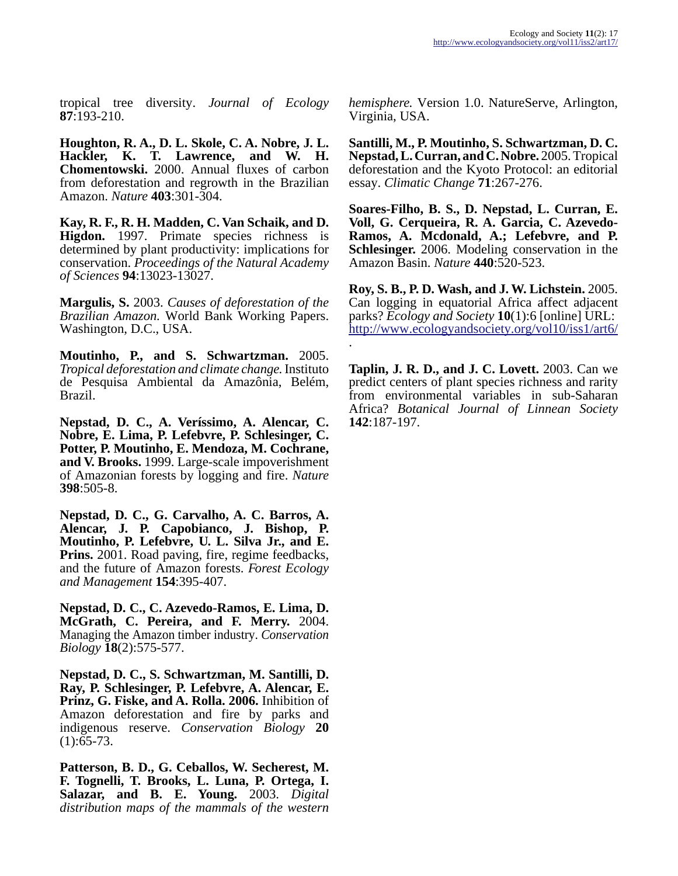tropical tree diversity. *Journal of Ecology* **87**:193-210.

**Houghton, R. A., D. L. Skole, C. A. Nobre, J. L. Hackler, K. T. Lawrence, and W. H. Chomentowski.** 2000. Annual fluxes of carbon from deforestation and regrowth in the Brazilian Amazon. *Nature* **403**:301-304.

**Kay, R. F., R. H. Madden, C. Van Schaik, and D. Higdon.** 1997. Primate species richness is determined by plant productivity: implications for conservation. *Proceedings of the Natural Academy of Sciences* **94**:13023-13027.

**Margulis, S.** 2003. *Causes of deforestation of the Brazilian Amazon.* World Bank Working Papers. Washington, D.C., USA.

**Moutinho, P., and S. Schwartzman.** 2005. *Tropical deforestation and climate change.* Instituto de Pesquisa Ambiental da Amazônia, Belém, Brazil.

**Nepstad, D. C., A. Veríssimo, A. Alencar, C. Nobre, E. Lima, P. Lefebvre, P. Schlesinger, C. Potter, P. Moutinho, E. Mendoza, M. Cochrane, and V. Brooks.** 1999. Large-scale impoverishment of Amazonian forests by logging and fire. *Nature* **398**:505-8.

**Nepstad, D. C., G. Carvalho, A. C. Barros, A. Alencar, J. P. Capobianco, J. Bishop, P. Moutinho, P. Lefebvre, U. L. Silva Jr., and E. Prins.** 2001. Road paving, fire, regime feedbacks, and the future of Amazon forests. *Forest Ecology and Management* **154**:395-407.

**Nepstad, D. C., C. Azevedo-Ramos, E. Lima, D. McGrath, C. Pereira, and F. Merry.** 2004. Managing the Amazon timber industry. *Conservation Biology* **18**(2):575-577.

**Nepstad, D. C., S. Schwartzman, M. Santilli, D. Ray, P. Schlesinger, P. Lefebvre, A. Alencar, E. Prinz, G. Fiske, and A. Rolla. 2006.** Inhibition of Amazon deforestation and fire by parks and indigenous reserve. *Conservation Biology* **20**  $(1): 65-73.$ 

**Patterson, B. D., G. Ceballos, W. Secherest, M. F. Tognelli, T. Brooks, L. Luna, P. Ortega, I. Salazar, and B. E. Young.** 2003. *Digital distribution maps of the mammals of the western*

*hemisphere.* Version 1.0. NatureServe, Arlington, Virginia, USA.

**Santilli, M., P. Moutinho, S. Schwartzman, D. C. Nepstad, L. Curran, and C. Nobre.** 2005. Tropical deforestation and the Kyoto Protocol: an editorial essay. *Climatic Change* **71**:267-276.

**Soares-Filho, B. S., D. Nepstad, L. Curran, E. Voll, G. Cerqueira, R. A. Garcia, C. Azevedo-Ramos, A. Mcdonald, A.; Lefebvre, and P. Schlesinger.** 2006. Modeling conservation in the Amazon Basin. *Nature* **440**:520-523.

**Roy, S. B., P. D. Wash, and J. W. Lichstein.** 2005. Can logging in equatorial Africa affect adjacent parks? *Ecology and Society* **10**(1):6 [online] URL: <http://www.ecologyandsociety.org/vol10/iss1/art6/> .

**Taplin, J. R. D., and J. C. Lovett.** 2003. Can we predict centers of plant species richness and rarity from environmental variables in sub-Saharan Africa? *Botanical Journal of Linnean Society* **142**:187-197.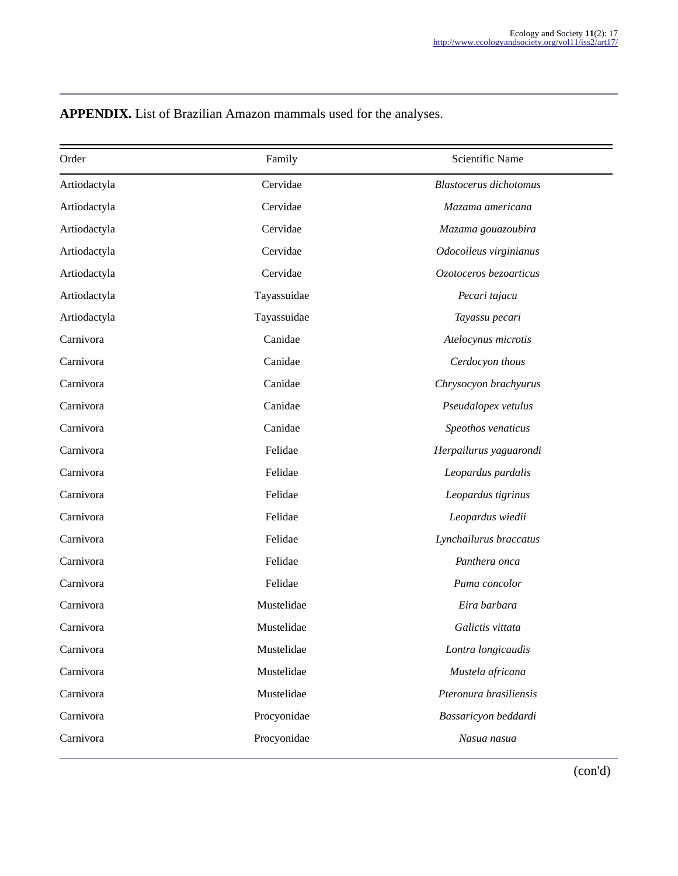| Order        | Family      | <b>Scientific Name</b>        |
|--------------|-------------|-------------------------------|
| Artiodactyla | Cervidae    | <b>Blastocerus</b> dichotomus |
| Artiodactyla | Cervidae    | Mazama americana              |
| Artiodactyla | Cervidae    | Mazama gouazoubira            |
| Artiodactyla | Cervidae    | Odocoileus virginianus        |
| Artiodactyla | Cervidae    | Ozotoceros bezoarticus        |
| Artiodactyla | Tayassuidae | Pecari tajacu                 |
| Artiodactyla | Tayassuidae | Tayassu pecari                |
| Carnivora    | Canidae     | Atelocynus microtis           |
| Carnivora    | Canidae     | Cerdocyon thous               |
| Carnivora    | Canidae     | Chrysocyon brachyurus         |
| Carnivora    | Canidae     | Pseudalopex vetulus           |
| Carnivora    | Canidae     | Speothos venaticus            |
| Carnivora    | Felidae     | Herpailurus yaguarondi        |
| Carnivora    | Felidae     | Leopardus pardalis            |
| Carnivora    | Felidae     | Leopardus tigrinus            |
| Carnivora    | Felidae     | Leopardus wiedii              |
| Carnivora    | Felidae     | Lynchailurus braccatus        |
| Carnivora    | Felidae     | Panthera onca                 |
| Carnivora    | Felidae     | Puma concolor                 |
| Carnivora    | Mustelidae  | Eira barbara                  |
| Carnivora    | Mustelidae  | Galictis vittata              |
| Carnivora    | Mustelidae  | Lontra longicaudis            |
| Carnivora    | Mustelidae  | Mustela africana              |
| Carnivora    | Mustelidae  | Pteronura brasiliensis        |
| Carnivora    | Procyonidae | Bassaricyon beddardi          |
| Carnivora    | Procyonidae | Nasua nasua                   |
|              |             |                               |

**APPENDIX.** List of Brazilian Amazon mammals used for the analyses.

(con'd)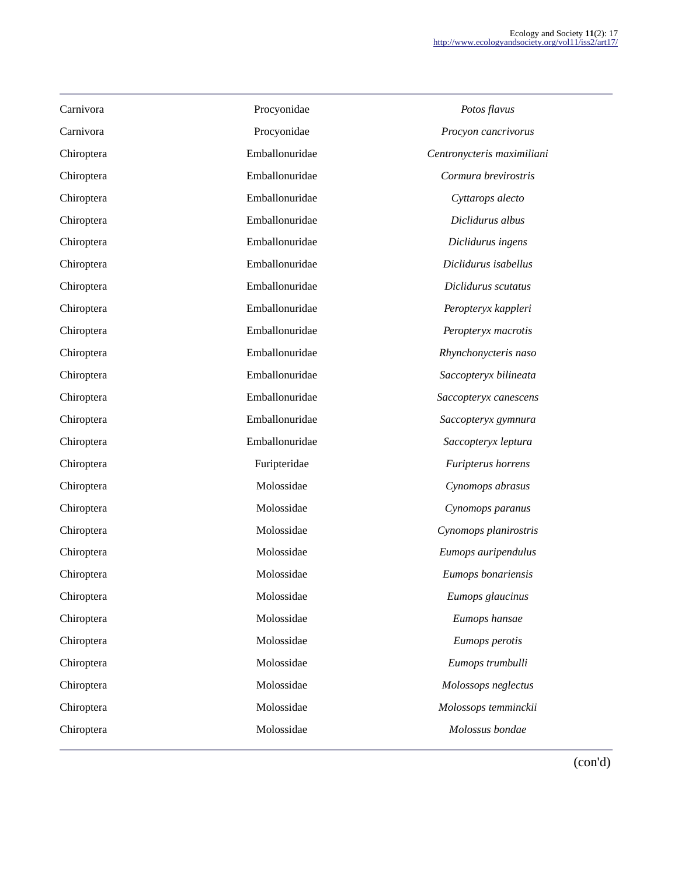| Carnivora  | Procyonidae    | Potos flavus               |
|------------|----------------|----------------------------|
| Carnivora  | Procyonidae    | Procyon cancrivorus        |
| Chiroptera | Emballonuridae | Centronycteris maximiliani |
| Chiroptera | Emballonuridae | Cormura brevirostris       |
| Chiroptera | Emballonuridae | Cyttarops alecto           |
| Chiroptera | Emballonuridae | Diclidurus albus           |
| Chiroptera | Emballonuridae | Diclidurus ingens          |
| Chiroptera | Emballonuridae | Diclidurus isabellus       |
| Chiroptera | Emballonuridae | Diclidurus scutatus        |
| Chiroptera | Emballonuridae | Peropteryx kappleri        |
| Chiroptera | Emballonuridae | Peropteryx macrotis        |
| Chiroptera | Emballonuridae | Rhynchonycteris naso       |
| Chiroptera | Emballonuridae | Saccopteryx bilineata      |
| Chiroptera | Emballonuridae | Saccopteryx canescens      |
| Chiroptera | Emballonuridae | Saccopteryx gymnura        |
| Chiroptera | Emballonuridae | Saccopteryx leptura        |
| Chiroptera | Furipteridae   | Furipterus horrens         |
| Chiroptera | Molossidae     | Cynomops abrasus           |
| Chiroptera | Molossidae     | Cynomops paranus           |
| Chiroptera | Molossidae     | Cynomops planirostris      |
| Chiroptera | Molossidae     | Eumops auripendulus        |
| Chiroptera | Molossidae     | Eumops bonariensis         |
| Chiroptera | Molossidae     | Eumops glaucinus           |
| Chiroptera | Molossidae     | Eumops hansae              |
| Chiroptera | Molossidae     | Eumops perotis             |
| Chiroptera | Molossidae     | Eumops trumbulli           |
| Chiroptera | Molossidae     | Molossops neglectus        |
| Chiroptera | Molossidae     | Molossops temminckii       |
| Chiroptera | Molossidae     | Molossus bondae            |
|            |                |                            |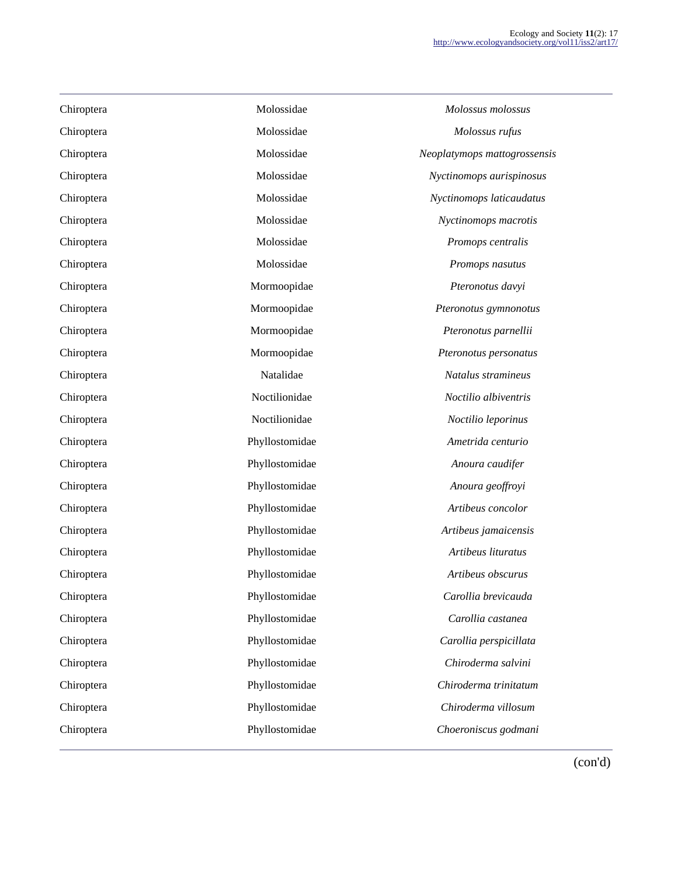| Chiroptera | Molossidae     | Molossus molossus            |
|------------|----------------|------------------------------|
| Chiroptera | Molossidae     | Molossus rufus               |
| Chiroptera | Molossidae     | Neoplatymops mattogrossensis |
| Chiroptera | Molossidae     | Nyctinomops aurispinosus     |
| Chiroptera | Molossidae     | Nyctinomops laticaudatus     |
| Chiroptera | Molossidae     | Nyctinomops macrotis         |
| Chiroptera | Molossidae     | Promops centralis            |
| Chiroptera | Molossidae     | Promops nasutus              |
| Chiroptera | Mormoopidae    | Pteronotus davyi             |
| Chiroptera | Mormoopidae    | Pteronotus gymnonotus        |
| Chiroptera | Mormoopidae    | Pteronotus parnellii         |
| Chiroptera | Mormoopidae    | Pteronotus personatus        |
| Chiroptera | Natalidae      | Natalus stramineus           |
| Chiroptera | Noctilionidae  | Noctilio albiventris         |
| Chiroptera | Noctilionidae  | Noctilio leporinus           |
| Chiroptera | Phyllostomidae | Ametrida centurio            |
| Chiroptera | Phyllostomidae | Anoura caudifer              |
| Chiroptera | Phyllostomidae | Anoura geoffroyi             |
| Chiroptera | Phyllostomidae | Artibeus concolor            |
| Chiroptera | Phyllostomidae | Artibeus jamaicensis         |
| Chiroptera | Phyllostomidae | Artibeus lituratus           |
| Chiroptera | Phyllostomidae | Artibeus obscurus            |
| Chiroptera | Phyllostomidae | Carollia brevicauda          |
| Chiroptera | Phyllostomidae | Carollia castanea            |
| Chiroptera | Phyllostomidae | Carollia perspicillata       |
| Chiroptera | Phyllostomidae | Chiroderma salvini           |
| Chiroptera | Phyllostomidae | Chiroderma trinitatum        |
| Chiroptera | Phyllostomidae | Chiroderma villosum          |
| Chiroptera | Phyllostomidae | Choeroniscus godmani         |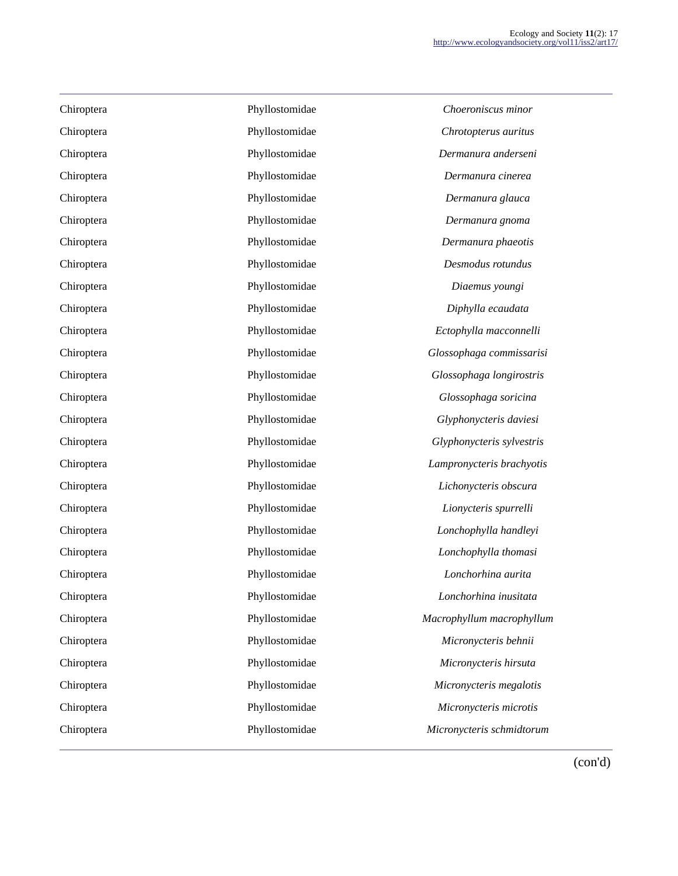| $\epsilon$                 | Phyllostomidae | Chiroptera |
|----------------------------|----------------|------------|
| $\epsilon$                 | Phyllostomidae | Chiroptera |
| $\boldsymbol{D}$           | Phyllostomidae | Chiroptera |
| J                          | Phyllostomidae | Chiroptera |
|                            | Phyllostomidae | Chiroptera |
|                            | Phyllostomidae | Chiroptera |
| L                          | Phyllostomidae | Chiroptera |
| $\overline{I}$             | Phyllostomidae | Chiroptera |
|                            | Phyllostomidae | Chiroptera |
|                            | Phyllostomidae | Chiroptera |
| Ec                         | Phyllostomidae | Chiroptera |
| Glo:                       | Phyllostomidae | Chiroptera |
| Glc                        | Phyllostomidae | Chiroptera |
| G                          | Phyllostomidae | Chiroptera |
| G <sub>i</sub>             | Phyllostomidae | Chiroptera |
| Gly                        | Phyllostomidae | Chiroptera |
| Lam                        | Phyllostomidae | Chiroptera |
| L <sub>l</sub>             | Phyllostomidae | Chiroptera |
| $\boldsymbol{l}$           | Phyllostomidae | Chiroptera |
| $\iota$                    | Phyllostomidae | Chiroptera |
| $L\ddot{}$                 | Phyllostomidae | Chiroptera |
|                            | Phyllostomidae | Chiroptera |
| $\mathcal{L}$              | Phyllostomidae | Chiroptera |
| Macr                       | Phyllostomidae | Chiroptera |
| Λ                          | Phyllostomidae | Chiroptera |
| $\boldsymbol{\mathcal{N}}$ | Phyllostomidae | Chiroptera |
| Mi                         | Phyllostomidae | Chiroptera |
| $\boldsymbol{M}$           | Phyllostomidae | Chiroptera |
| Micr                       | Phyllostomidae | Chiroptera |

Choeroniscus minor Chiroptera Phyllostomidae *Chrotopterus auritus* Chiroptera Phyllostomidae *Dermanura anderseni* Chiroptera Phyllostomidae *Dermanura cinerea* Dermanura glauca Dermanura gnoma Dermanura phaeotis Desmodus rotundus Chiroptera Phyllostomidae *Diaemus youngi* Chiroptera Phyllostomidae *Diphylla ecaudata* Chiroptera Phyllostomidae *Ectophylla macconnelli* Chiroptera Phyllostomidae *Glossophaga commissarisi* Chiroptera Phyllostomidae *Glossophaga longirostris* Chiroptera Phyllostomidae *Glossophaga soricina* Chiroptera Phyllostomidae *Glyphonycteris daviesi* Chiroptera Phyllostomidae *Glyphonycteris sylvestris* Chiroptera Phyllostomidae *Lampronycteris brachyotis* ichonycteris obscura Chiroptera Phyllostomidae *Lionycteris spurrelli* Chiroptera Phyllostomidae *Lonchophylla handleyi* Chiroptera Phyllostomidae *Lonchophylla thomasi* Chiroptera Phyllostomidae *Lonchorhina aurita* Chiroptera Phyllostomidae *Lonchorhina inusitata* Chiroptera Phyllostomidae *Macrophyllum macrophyllum* Chiroptera Phyllostomidae *Micronycteris behnii* Chiroptera Phyllostomidae *Micronycteris hirsuta* icronycteris megalotis Chiroptera Phyllostomidae *Micronycteris microtis* Chiroptera Phyllostomidae *Micronycteris schmidtorum*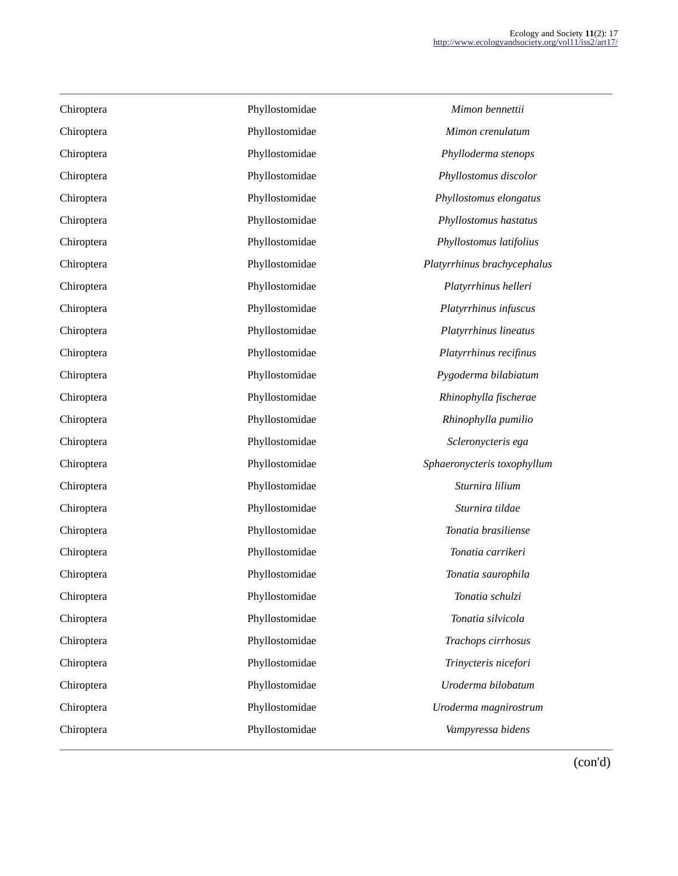| Chiroptera | Phyllostomidae | Mimon bennettii         |
|------------|----------------|-------------------------|
| Chiroptera | Phyllostomidae | Mimon crenulatum        |
| Chiroptera | Phyllostomidae | Phylloderma stenop.     |
| Chiroptera | Phyllostomidae | Phyllostomus discolo    |
| Chiroptera | Phyllostomidae | Phyllostomus elongat    |
| Chiroptera | Phyllostomidae | Phyllostomus hastatu    |
| Chiroptera | Phyllostomidae | Phyllostomus latifolii  |
| Chiroptera | Phyllostomidae | Platyrrhinus brachyceph |
| Chiroptera | Phyllostomidae | Platyrrhinus helleri    |
| Chiroptera | Phyllostomidae | Platyrrhinus infuscu    |
| Chiroptera | Phyllostomidae | Platyrrhinus lineatu.   |
| Chiroptera | Phyllostomidae | Platyrrhinus recifinu   |
| Chiroptera | Phyllostomidae | Pygoderma bilabiatu     |
| Chiroptera | Phyllostomidae | Rhinophylla fischera    |
| Chiroptera | Phyllostomidae | Rhinophylla pumilic     |
| Chiroptera | Phyllostomidae | Scleronycteris ega      |
| Chiroptera | Phyllostomidae | Sphaeronycteris toxophy |
| Chiroptera | Phyllostomidae | Sturnira lilium         |
| Chiroptera | Phyllostomidae | Sturnira tildae         |
| Chiroptera | Phyllostomidae | Tonatia brasiliense     |
| Chiroptera | Phyllostomidae | Tonatia carrikeri       |
| Chiroptera | Phyllostomidae | Tonatia saurophila      |
| Chiroptera | Phyllostomidae | Tonatia schulzi         |
| Chiroptera | Phyllostomidae | Tonatia silvicola       |
| Chiroptera | Phyllostomidae | Trachops cirrhosus      |
| Chiroptera | Phyllostomidae | Trinycteris nicefori    |
| Chiroptera | Phyllostomidae | Uroderma bilobatun      |
| Chiroptera | Phyllostomidae | Uroderma magnirostri    |
| Chiroptera | Phyllostomidae | Vampyressa bidens       |

Chiroptera Phyllostomidae *Phylloderma stenops* Chiroptera Phyllostomidae *Phyllostomus discolor* Chiroptera Phyllostomidae *Phyllostomus elongatus* Chiroptera Phyllostomidae *Phyllostomus hastatus* Chiroptera Phyllostomidae *Phyllostomus latifolius* Chiroptera Phyllostomidae *Platyrrhinus brachycephalus* Chiroptera Phyllostomidae *Platyrrhinus infuscus* Chiroptera Phyllostomidae *Platyrrhinus lineatus* Chiroptera Phyllostomidae *Platyrrhinus recifinus* Chiroptera Phyllostomidae *Pygoderma bilabiatum* Chiroptera Phyllostomidae *Rhinophylla fischerae* Chiroptera Phyllostomidae *Rhinophylla pumilio* Chiroptera Phyllostomidae *Scleronycteris ega* Chiroptera Phyllostomidae *Sphaeronycteris toxophyllum* Chiroptera Phyllostomidae *Tonatia brasiliense* tia carrikeri Chiroptera Phyllostomidae *Tonatia saurophila* Chiroptera Phyllostomidae *Trachops cirrhosus* Chiroptera Phyllostomidae *Trinycteris nicefori* Chiroptera Phyllostomidae *Uroderma bilobatum* Chiroptera Phyllostomidae *Uroderma magnirostrum* Chiroptera Phyllostomidae *Vampyressa bidens*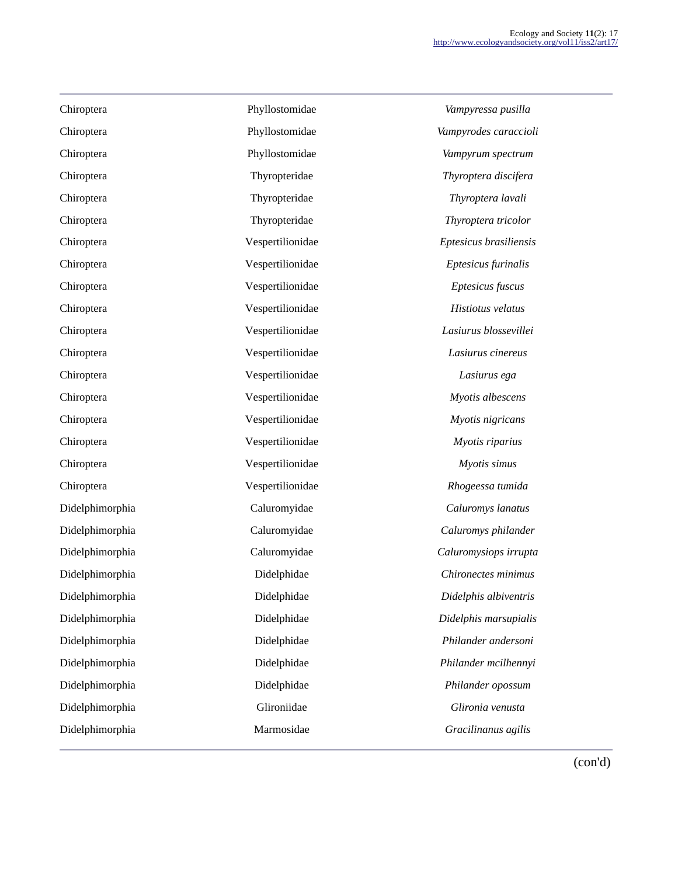| Chiroptera      | Phyllostomidae   | Vampyressa pusilla     |
|-----------------|------------------|------------------------|
| Chiroptera      | Phyllostomidae   | Vampyrodes caraccioli  |
| Chiroptera      | Phyllostomidae   | Vampyrum spectrum      |
| Chiroptera      | Thyropteridae    | Thyroptera discifera   |
| Chiroptera      | Thyropteridae    | Thyroptera lavali      |
| Chiroptera      | Thyropteridae    | Thyroptera tricolor    |
| Chiroptera      | Vespertilionidae | Eptesicus brasiliensis |
| Chiroptera      | Vespertilionidae | Eptesicus furinalis    |
| Chiroptera      | Vespertilionidae | Eptesicus fuscus       |
| Chiroptera      | Vespertilionidae | Histiotus velatus      |
| Chiroptera      | Vespertilionidae | Lasiurus blossevillei  |
| Chiroptera      | Vespertilionidae | Lasiurus cinereus      |
| Chiroptera      | Vespertilionidae | Lasiurus ega           |
| Chiroptera      | Vespertilionidae | Myotis albescens       |
| Chiroptera      | Vespertilionidae | Myotis nigricans       |
| Chiroptera      | Vespertilionidae | Myotis riparius        |
| Chiroptera      | Vespertilionidae | Myotis simus           |
| Chiroptera      | Vespertilionidae | Rhogeessa tumida       |
| Didelphimorphia | Caluromyidae     | Caluromys lanatus      |
| Didelphimorphia | Caluromyidae     | Caluromys philander    |
| Didelphimorphia | Caluromyidae     | Caluromysiops irrupta  |
| Didelphimorphia | Didelphidae      | Chironectes minimus    |
| Didelphimorphia | Didelphidae      | Didelphis albiventris  |
| Didelphimorphia | Didelphidae      | Didelphis marsupialis  |
| Didelphimorphia | Didelphidae      | Philander andersoni    |
| Didelphimorphia | Didelphidae      | Philander mcilhennyi   |
| Didelphimorphia | Didelphidae      | Philander opossum      |
| Didelphimorphia | Glironiidae      | Glironia venusta       |
| Didelphimorphia | Marmosidae       | Gracilinanus agilis    |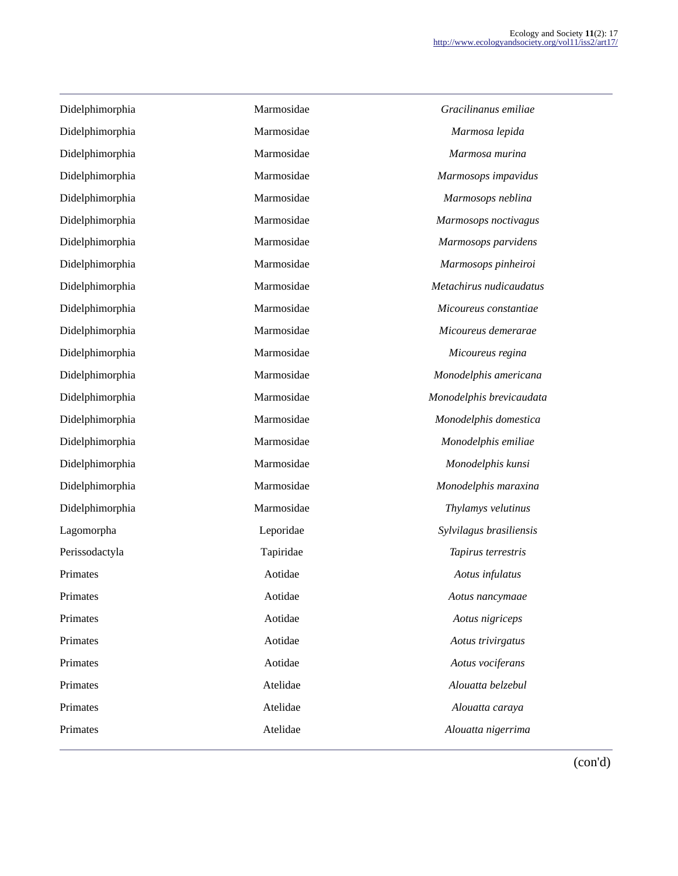| Marmosidae | Gracilinanus emiliae     |
|------------|--------------------------|
| Marmosidae | Marmosa lepida           |
| Marmosidae | Marmosa murina           |
| Marmosidae | Marmosops impavidus      |
| Marmosidae | Marmosops neblina        |
| Marmosidae | Marmosops noctivagus     |
| Marmosidae | Marmosops parvidens      |
| Marmosidae | Marmosops pinheiroi      |
| Marmosidae | Metachirus nudicaudatus  |
| Marmosidae | Micoureus constantiae    |
| Marmosidae | Micoureus demerarae      |
| Marmosidae | Micoureus regina         |
| Marmosidae | Monodelphis americana    |
| Marmosidae | Monodelphis brevicaudata |
| Marmosidae | Monodelphis domestica    |
| Marmosidae | Monodelphis emiliae      |
| Marmosidae | Monodelphis kunsi        |
| Marmosidae | Monodelphis maraxina     |
| Marmosidae | Thylamys velutinus       |
| Leporidae  | Sylvilagus brasiliensis  |
| Tapiridae  | Tapirus terrestris       |
| Aotidae    | Aotus infulatus          |
| Aotidae    | Aotus nancymaae          |
| Aotidae    | Aotus nigriceps          |
| Aotidae    | Aotus trivirgatus        |
| Aotidae    | Aotus vociferans         |
| Atelidae   | Alouatta belzebul        |
| Atelidae   | Alouatta caraya          |
| Atelidae   | Alouatta nigerrima       |
|            |                          |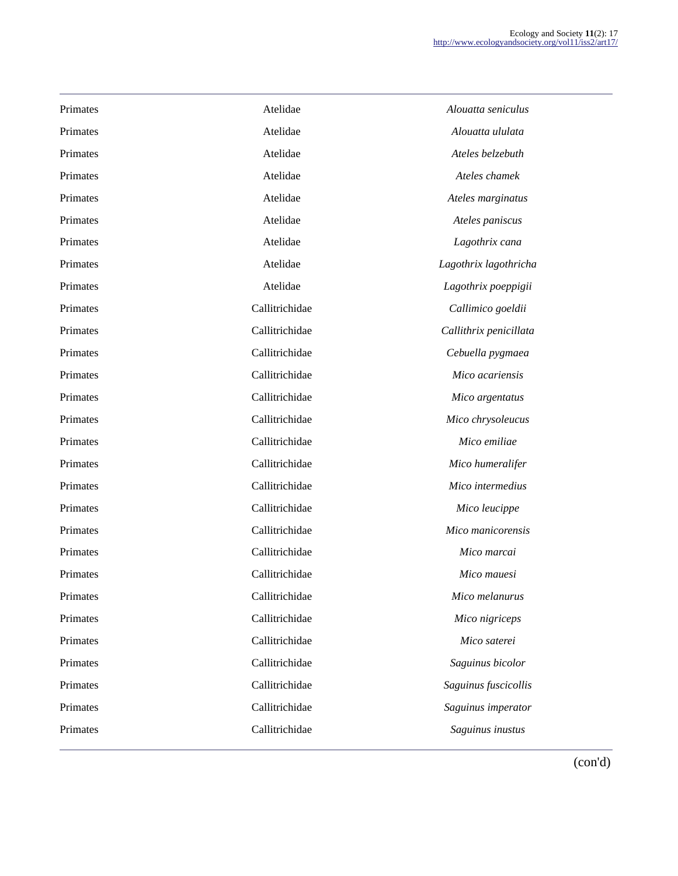| Primates | Atelidae       | Alouatta seniculus     |
|----------|----------------|------------------------|
| Primates | Atelidae       | Alouatta ululata       |
| Primates | Atelidae       | Ateles belzebuth       |
| Primates | Atelidae       | Ateles chamek          |
| Primates | Atelidae       | Ateles marginatus      |
| Primates | Atelidae       | Ateles paniscus        |
| Primates | Atelidae       | Lagothrix cana         |
| Primates | Atelidae       | Lagothrix lagothricha  |
| Primates | Atelidae       | Lagothrix poeppigii    |
| Primates | Callitrichidae | Callimico goeldii      |
| Primates | Callitrichidae | Callithrix penicillata |
| Primates | Callitrichidae | Cebuella pygmaea       |
| Primates | Callitrichidae | Mico acariensis        |
| Primates | Callitrichidae | Mico argentatus        |
| Primates | Callitrichidae | Mico chrysoleucus      |
| Primates | Callitrichidae | Mico emiliae           |
| Primates | Callitrichidae | Mico humeralifer       |
| Primates | Callitrichidae | Mico intermedius       |
| Primates | Callitrichidae | Mico leucippe          |
| Primates | Callitrichidae | Mico manicorensis      |
| Primates | Callitrichidae | Mico marcai            |
| Primates | Callitrichidae | Mico mauesi            |
| Primates | Callitrichidae | Mico melanurus         |
| Primates | Callitrichidae | Mico nigriceps         |
| Primates | Callitrichidae | Mico saterei           |
| Primates | Callitrichidae | Saguinus bicolor       |
| Primates | Callitrichidae | Saguinus fuscicollis   |
| Primates | Callitrichidae | Saguinus imperator     |
| Primates | Callitrichidae | Saguinus inustus       |
|          |                |                        |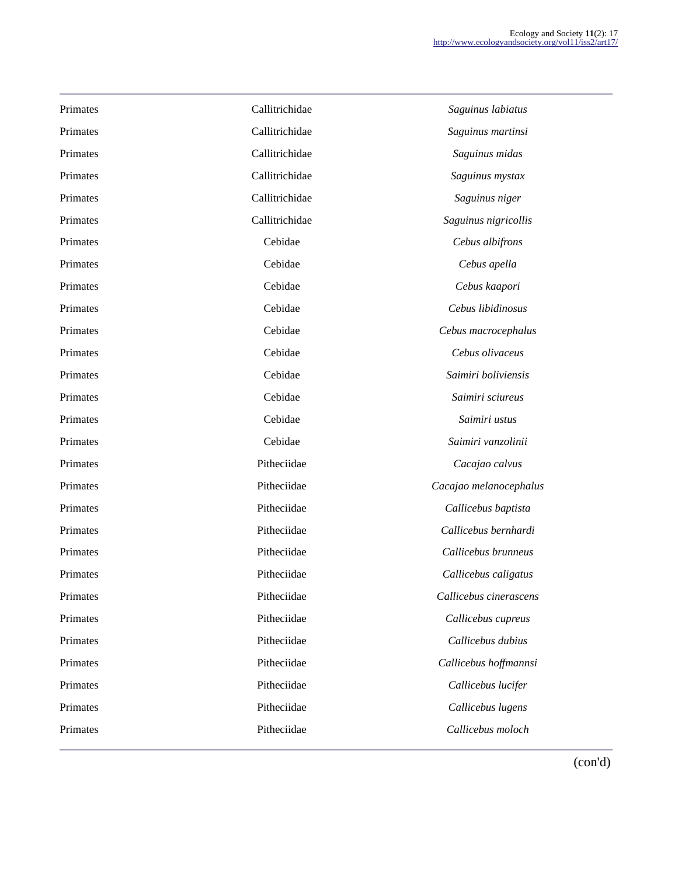| Primates | Callitrichidae | Saguinus labiatus      |
|----------|----------------|------------------------|
| Primates | Callitrichidae | Saguinus martinsi      |
| Primates | Callitrichidae | Saguinus midas         |
| Primates | Callitrichidae | Saguinus mystax        |
| Primates | Callitrichidae | Saguinus niger         |
| Primates | Callitrichidae | Saguinus nigricollis   |
| Primates | Cebidae        | Cebus albifrons        |
| Primates | Cebidae        | Cebus apella           |
| Primates | Cebidae        | Cebus kaapori          |
| Primates | Cebidae        | Cebus libidinosus      |
| Primates | Cebidae        | Cebus macrocephalus    |
| Primates | Cebidae        | Cebus olivaceus        |
| Primates | Cebidae        | Saimiri boliviensis    |
| Primates | Cebidae        | Saimiri sciureus       |
| Primates | Cebidae        | Saimiri ustus          |
| Primates | Cebidae        | Saimiri vanzolinii     |
| Primates | Pitheciidae    | Cacajao calvus         |
| Primates | Pitheciidae    | Cacajao melanocephalus |
| Primates | Pitheciidae    | Callicebus baptista    |
| Primates | Pitheciidae    | Callicebus bernhardi   |
| Primates | Pitheciidae    | Callicebus brunneus    |
| Primates | Pitheciidae    | Callicebus caligatus   |
| Primates | Pitheciidae    | Callicebus cinerascens |
| Primates | Pitheciidae    | Callicebus cupreus     |
| Primates | Pitheciidae    | Callicebus dubius      |
| Primates | Pitheciidae    | Callicebus hoffmannsi  |
| Primates | Pitheciidae    | Callicebus lucifer     |
| Primates | Pitheciidae    | Callicebus lugens      |
| Primates | Pitheciidae    | Callicebus moloch      |
|          |                |                        |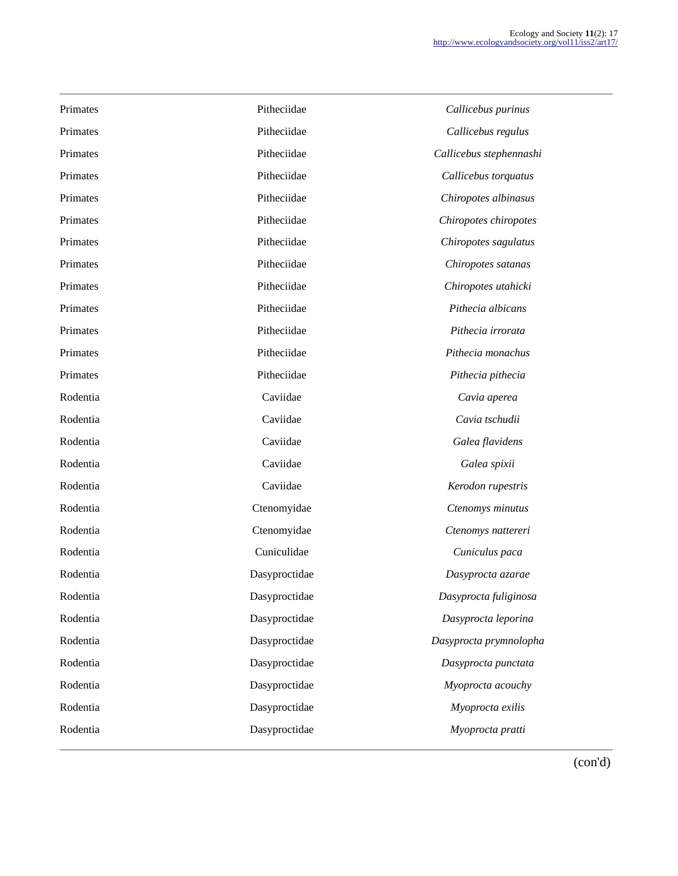| Primates | Pitheciidae   | Callicebus purinus      |
|----------|---------------|-------------------------|
| Primates | Pitheciidae   | Callicebus regulus      |
| Primates | Pitheciidae   | Callicebus stephennashi |
| Primates | Pitheciidae   | Callicebus torquatus    |
| Primates | Pitheciidae   | Chiropotes albinasus    |
| Primates | Pitheciidae   | Chiropotes chiropotes   |
| Primates | Pitheciidae   | Chiropotes sagulatus    |
| Primates | Pitheciidae   | Chiropotes satanas      |
| Primates | Pitheciidae   | Chiropotes utahicki     |
| Primates | Pitheciidae   | Pithecia albicans       |
| Primates | Pitheciidae   | Pithecia irrorata       |
| Primates | Pitheciidae   | Pithecia monachus       |
| Primates | Pitheciidae   | Pithecia pithecia       |
| Rodentia | Caviidae      | Cavia aperea            |
| Rodentia | Caviidae      | Cavia tschudii          |
| Rodentia | Caviidae      | Galea flavidens         |
| Rodentia | Caviidae      | Galea spixii            |
| Rodentia | Caviidae      | Kerodon rupestris       |
| Rodentia | Ctenomyidae   | Ctenomys minutus        |
| Rodentia | Ctenomyidae   | Ctenomys nattereri      |
| Rodentia | Cuniculidae   | Cuniculus paca          |
| Rodentia | Dasyproctidae | Dasyprocta azarae       |
| Rodentia | Dasyproctidae | Dasyprocta fuliginosa   |
| Rodentia | Dasyproctidae | Dasyprocta leporina     |
| Rodentia | Dasyproctidae | Dasyprocta prymnolopha  |
| Rodentia | Dasyproctidae | Dasyprocta punctata     |
| Rodentia | Dasyproctidae | Myoprocta acouchy       |
| Rodentia | Dasyproctidae | Myoprocta exilis        |
| Rodentia | Dasyproctidae | Myoprocta pratti        |
|          |               |                         |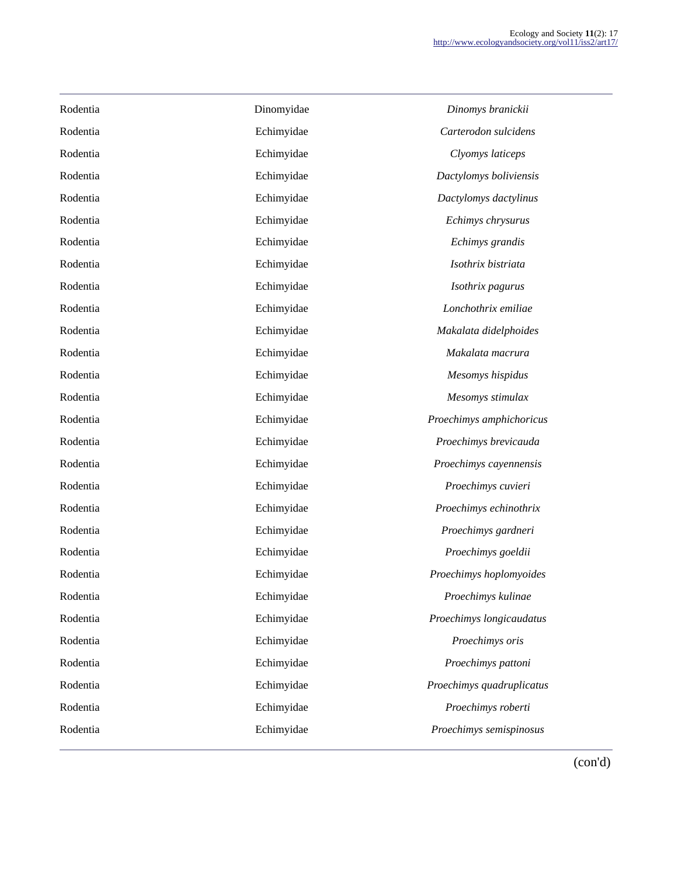| Rodentia | Dinomyidae | Dinomys branickii         |
|----------|------------|---------------------------|
| Rodentia | Echimyidae | Carterodon sulcidens      |
| Rodentia | Echimyidae | Clyomys laticeps          |
| Rodentia | Echimyidae | Dactylomys boliviensis    |
| Rodentia | Echimyidae | Dactylomys dactylinus     |
| Rodentia | Echimyidae | Echimys chrysurus         |
| Rodentia | Echimyidae | Echimys grandis           |
| Rodentia | Echimyidae | Isothrix bistriata        |
| Rodentia | Echimyidae | Isothrix pagurus          |
| Rodentia | Echimyidae | Lonchothrix emiliae       |
| Rodentia | Echimyidae | Makalata didelphoides     |
| Rodentia | Echimyidae | Makalata macrura          |
| Rodentia | Echimyidae | Mesomys hispidus          |
| Rodentia | Echimyidae | Mesomys stimulax          |
| Rodentia | Echimyidae | Proechimys amphichoricus  |
| Rodentia | Echimyidae | Proechimys brevicauda     |
| Rodentia | Echimyidae | Proechimys cayennensis    |
| Rodentia | Echimyidae | Proechimys cuvieri        |
| Rodentia | Echimyidae | Proechimys echinothrix    |
| Rodentia | Echimyidae | Proechimys gardneri       |
| Rodentia | Echimyidae | Proechimys goeldii        |
| Rodentia | Echimyidae | Proechimys hoplomyoides   |
| Rodentia | Echimyidae | Proechimys kulinae        |
| Rodentia | Echimyidae | Proechimys longicaudatus  |
| Rodentia | Echimyidae | Proechimys oris           |
| Rodentia | Echimyidae | Proechimys pattoni        |
| Rodentia | Echimyidae | Proechimys quadruplicatus |
| Rodentia | Echimyidae | Proechimys roberti        |
| Rodentia | Echimyidae | Proechimys semispinosus   |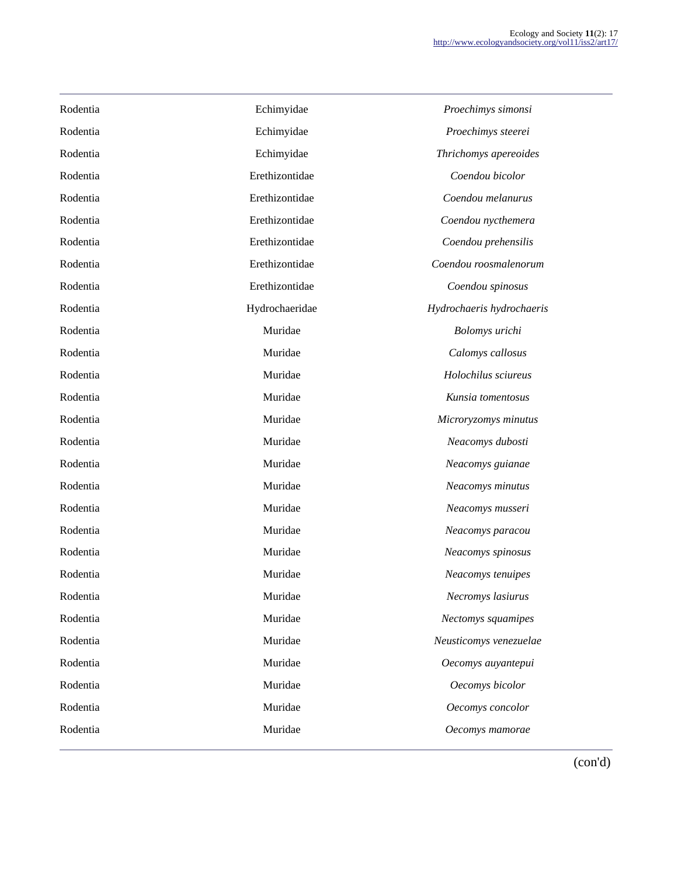| Rodentia | Echimyidae     | Proechimys simonsi        |
|----------|----------------|---------------------------|
| Rodentia | Echimyidae     | Proechimys steerei        |
| Rodentia | Echimyidae     | Thrichomys apereoides     |
| Rodentia | Erethizontidae | Coendou bicolor           |
| Rodentia | Erethizontidae | Coendou melanurus         |
| Rodentia | Erethizontidae | Coendou nycthemera        |
| Rodentia | Erethizontidae | Coendou prehensilis       |
| Rodentia | Erethizontidae | Coendou roosmalenorum     |
| Rodentia | Erethizontidae | Coendou spinosus          |
| Rodentia | Hydrochaeridae | Hydrochaeris hydrochaeris |
| Rodentia | Muridae        | Bolomys urichi            |
| Rodentia | Muridae        | Calomys callosus          |
| Rodentia | Muridae        | Holochilus sciureus       |
| Rodentia | Muridae        | Kunsia tomentosus         |
| Rodentia | Muridae        | Microryzomys minutus      |
| Rodentia | Muridae        | Neacomys dubosti          |
| Rodentia | Muridae        | Neacomys guianae          |
| Rodentia | Muridae        | Neacomys minutus          |
| Rodentia | Muridae        | Neacomys musseri          |
| Rodentia | Muridae        | Neacomys paracou          |
| Rodentia | Muridae        | Neacomys spinosus         |
| Rodentia | Muridae        | Neacomys tenuipes         |
| Rodentia | Muridae        | Necromys lasiurus         |
| Rodentia | Muridae        | Nectomys squamipes        |
| Rodentia | Muridae        | Neusticomys venezuelae    |
| Rodentia | Muridae        | Oecomys auyantepui        |
| Rodentia | Muridae        | Oecomys bicolor           |
| Rodentia | Muridae        | Oecomys concolor          |
| Rodentia | Muridae        | Oecomys mamorae           |
|          |                |                           |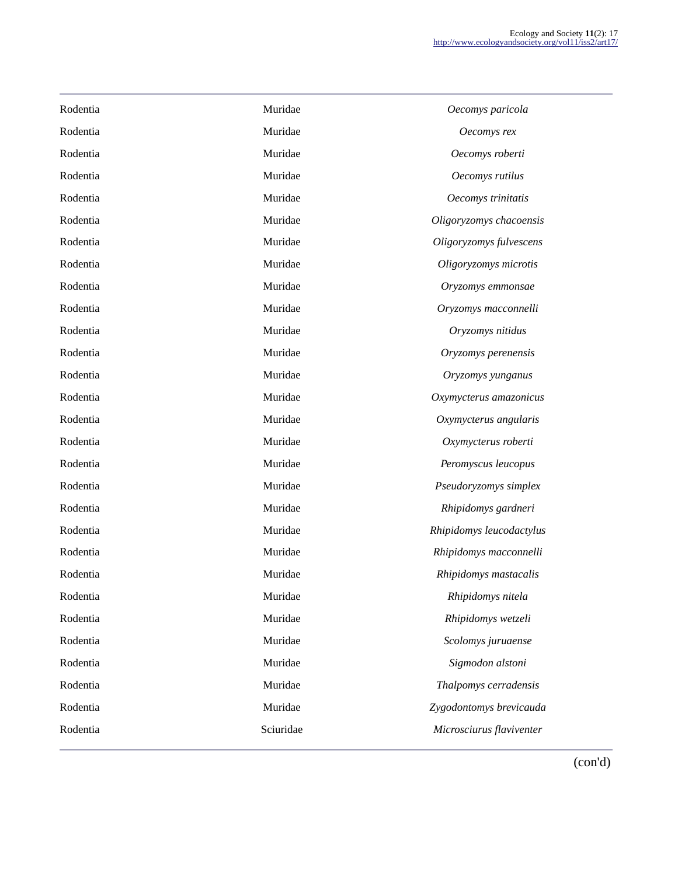| Rodentia | Muridae   | Oecomys paricola         |
|----------|-----------|--------------------------|
| Rodentia | Muridae   | Oecomys rex              |
| Rodentia | Muridae   | Oecomys roberti          |
| Rodentia | Muridae   | Oecomys rutilus          |
| Rodentia | Muridae   | Oecomys trinitatis       |
| Rodentia | Muridae   | Oligoryzomys chacoensis  |
| Rodentia | Muridae   | Oligoryzomys fulvescens  |
| Rodentia | Muridae   | Oligoryzomys microtis    |
| Rodentia | Muridae   | Oryzomys emmonsae        |
| Rodentia | Muridae   | Oryzomys macconnelli     |
| Rodentia | Muridae   | Oryzomys nitidus         |
| Rodentia | Muridae   | Oryzomys perenensis      |
| Rodentia | Muridae   | Oryzomys yunganus        |
| Rodentia | Muridae   | Oxymycterus amazonicus   |
| Rodentia | Muridae   | Oxymycterus angularis    |
| Rodentia | Muridae   | Oxymycterus roberti      |
| Rodentia | Muridae   | Peromyscus leucopus      |
| Rodentia | Muridae   | Pseudoryzomys simplex    |
| Rodentia | Muridae   | Rhipidomys gardneri      |
| Rodentia | Muridae   | Rhipidomys leucodactylus |
| Rodentia | Muridae   | Rhipidomys macconnelli   |
| Rodentia | Muridae   | Rhipidomys mastacalis    |
| Rodentia | Muridae   | Rhipidomys nitela        |
| Rodentia | Muridae   | Rhipidomys wetzeli       |
| Rodentia | Muridae   | Scolomys juruaense       |
| Rodentia | Muridae   | Sigmodon alstoni         |
| Rodentia | Muridae   | Thalpomys cerradensis    |
| Rodentia | Muridae   | Zygodontomys brevicauda  |
| Rodentia | Sciuridae | Microsciurus flaviventer |
|          |           |                          |